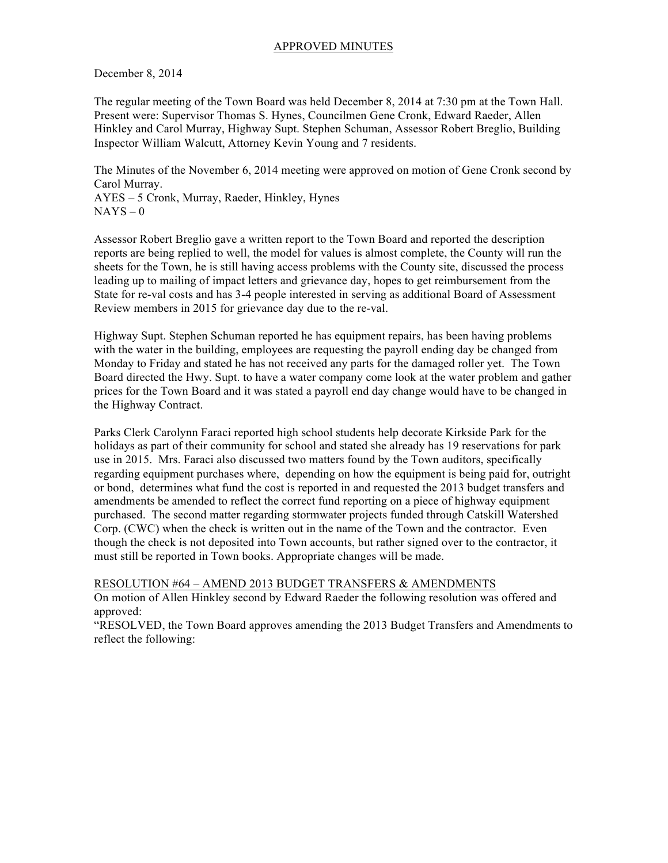# APPROVED MINUTES

December 8, 2014

The regular meeting of the Town Board was held December 8, 2014 at 7:30 pm at the Town Hall. Present were: Supervisor Thomas S. Hynes, Councilmen Gene Cronk, Edward Raeder, Allen Hinkley and Carol Murray, Highway Supt. Stephen Schuman, Assessor Robert Breglio, Building Inspector William Walcutt, Attorney Kevin Young and 7 residents.

The Minutes of the November 6, 2014 meeting were approved on motion of Gene Cronk second by Carol Murray.

AYES – 5 Cronk, Murray, Raeder, Hinkley, Hynes  $NAYS - 0$ 

Assessor Robert Breglio gave a written report to the Town Board and reported the description reports are being replied to well, the model for values is almost complete, the County will run the sheets for the Town, he is still having access problems with the County site, discussed the process leading up to mailing of impact letters and grievance day, hopes to get reimbursement from the State for re-val costs and has 3-4 people interested in serving as additional Board of Assessment Review members in 2015 for grievance day due to the re-val.

Highway Supt. Stephen Schuman reported he has equipment repairs, has been having problems with the water in the building, employees are requesting the payroll ending day be changed from Monday to Friday and stated he has not received any parts for the damaged roller yet. The Town Board directed the Hwy. Supt. to have a water company come look at the water problem and gather prices for the Town Board and it was stated a payroll end day change would have to be changed in the Highway Contract.

Parks Clerk Carolynn Faraci reported high school students help decorate Kirkside Park for the holidays as part of their community for school and stated she already has 19 reservations for park use in 2015. Mrs. Faraci also discussed two matters found by the Town auditors, specifically regarding equipment purchases where, depending on how the equipment is being paid for, outright or bond, determines what fund the cost is reported in and requested the 2013 budget transfers and amendments be amended to reflect the correct fund reporting on a piece of highway equipment purchased. The second matter regarding stormwater projects funded through Catskill Watershed Corp. (CWC) when the check is written out in the name of the Town and the contractor. Even though the check is not deposited into Town accounts, but rather signed over to the contractor, it must still be reported in Town books. Appropriate changes will be made.

RESOLUTION #64 – AMEND 2013 BUDGET TRANSFERS & AMENDMENTS

On motion of Allen Hinkley second by Edward Raeder the following resolution was offered and approved:

"RESOLVED, the Town Board approves amending the 2013 Budget Transfers and Amendments to reflect the following: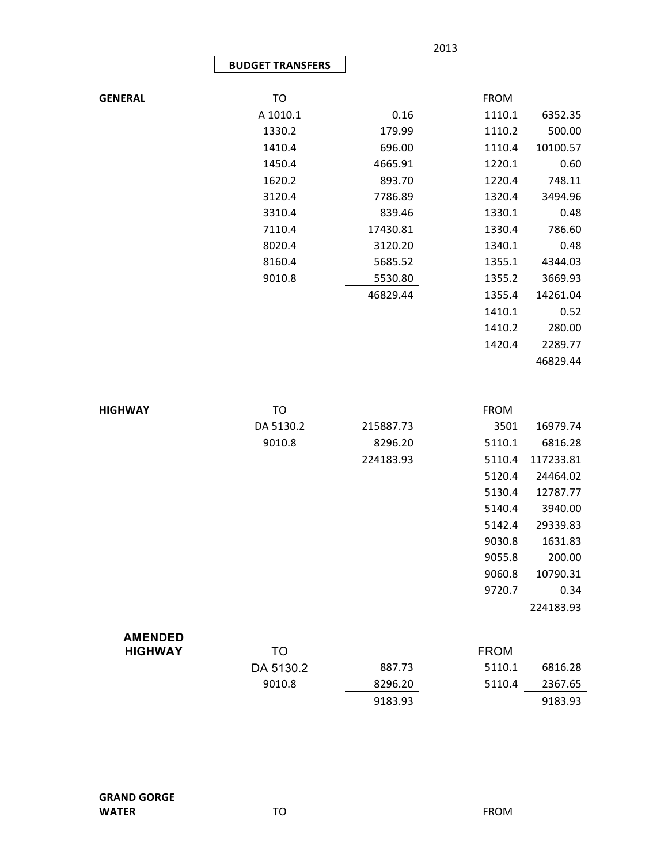|                |                         |          | 2013        |          |
|----------------|-------------------------|----------|-------------|----------|
|                | <b>BUDGET TRANSFERS</b> |          |             |          |
|                |                         |          |             |          |
| <b>GENERAL</b> | TO                      |          | <b>FROM</b> |          |
|                | A 1010.1                | 0.16     | 1110.1      | 6352.35  |
|                | 1330.2                  | 179.99   | 1110.2      | 500.00   |
|                | 1410.4                  | 696.00   | 1110.4      | 10100.57 |
|                | 1450.4                  | 4665.91  | 1220.1      | 0.60     |
|                | 1620.2                  | 893.70   | 1220.4      | 748.11   |
|                | 3120.4                  | 7786.89  | 1320.4      | 3494.96  |
|                | 3310.4                  | 839.46   | 1330.1      | 0.48     |
|                | 7110.4                  | 17430.81 | 1330.4      | 786.60   |
|                | 8020.4                  | 3120.20  | 1340.1      | 0.48     |
|                | 8160.4                  | 5685.52  | 1355.1      | 4344.03  |
|                | 9010.8                  | 5530.80  | 1355.2      | 3669.93  |
|                |                         | 46829.44 | 1355.4      | 14261.04 |
|                |                         |          | 1410.1      | 0.52     |
|                |                         |          | 1410.2      | 280.00   |
|                |                         |          | 1420.4      | 2289.77  |
|                |                         |          |             | 46829.44 |

| <b>HIGHWAY</b> | TO        |           | <b>FROM</b> |           |
|----------------|-----------|-----------|-------------|-----------|
|                | DA 5130.2 | 215887.73 | 3501        | 16979.74  |
|                | 9010.8    | 8296.20   | 5110.1      | 6816.28   |
|                |           | 224183.93 | 5110.4      | 117233.81 |
|                |           |           | 5120.4      | 24464.02  |
|                |           |           | 5130.4      | 12787.77  |
|                |           |           | 5140.4      | 3940.00   |
|                |           |           | 5142.4      | 29339.83  |
|                |           |           | 9030.8      | 1631.83   |
|                |           |           | 9055.8      | 200.00    |
|                |           |           | 9060.8      | 10790.31  |
|                |           |           | 9720.7      | 0.34      |
|                |           |           |             | 224183.93 |
| <b>AMENDED</b> |           |           |             |           |
| <b>HIGHWAY</b> | TO        |           | <b>FROM</b> |           |
|                | DA 5130.2 | 887.73    | 5110.1      | 6816.28   |
|                | 9010.8    | 8296.20   | 5110.4      | 2367.65   |
|                |           |           |             |           |

9183.93 9183.93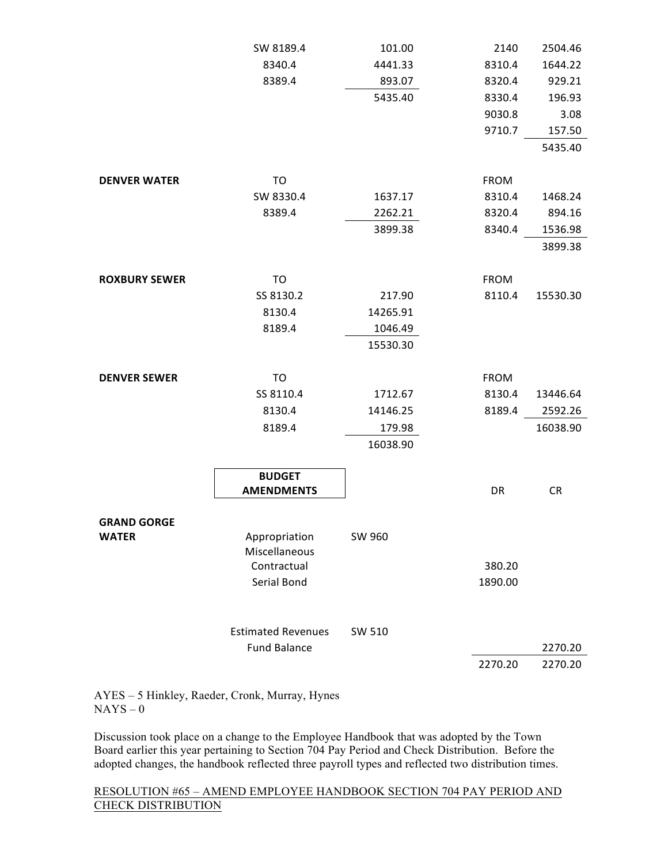|                      | SW 8189.4                 | 101.00   | 2140                  | 2504.46  |
|----------------------|---------------------------|----------|-----------------------|----------|
|                      | 8340.4                    | 4441.33  | 8310.4                | 1644.22  |
|                      | 8389.4                    | 893.07   | 8320.4                | 929.21   |
|                      |                           | 5435.40  | 8330.4                | 196.93   |
|                      |                           |          | 9030.8                | 3.08     |
|                      |                           |          | 9710.7                | 157.50   |
|                      |                           |          |                       | 5435.40  |
|                      |                           |          |                       |          |
| <b>DENVER WATER</b>  | TO                        |          | <b>FROM</b>           |          |
|                      | SW 8330.4                 | 1637.17  | 8310.4                | 1468.24  |
|                      | 8389.4                    | 2262.21  | 8320.4                | 894.16   |
|                      |                           | 3899.38  | 8340.4                | 1536.98  |
|                      |                           |          |                       | 3899.38  |
| <b>ROXBURY SEWER</b> |                           |          |                       |          |
|                      | TO<br>SS 8130.2           | 217.90   | <b>FROM</b><br>8110.4 | 15530.30 |
|                      | 8130.4                    | 14265.91 |                       |          |
|                      | 8189.4                    | 1046.49  |                       |          |
|                      |                           | 15530.30 |                       |          |
|                      |                           |          |                       |          |
| <b>DENVER SEWER</b>  | TO                        |          | <b>FROM</b>           |          |
|                      | SS 8110.4                 | 1712.67  | 8130.4                | 13446.64 |
|                      | 8130.4                    | 14146.25 | 8189.4                | 2592.26  |
|                      | 8189.4                    | 179.98   |                       | 16038.90 |
|                      |                           | 16038.90 |                       |          |
|                      |                           |          |                       |          |
|                      | <b>BUDGET</b>             |          |                       |          |
|                      | <b>AMENDMENTS</b>         |          | DR                    | CR       |
|                      |                           |          |                       |          |
| <b>GRAND GORGE</b>   | Appropriation             | SW 960   |                       |          |
| <b>WATER</b>         | Miscellaneous             |          |                       |          |
|                      | Contractual               |          | 380.20                |          |
|                      | Serial Bond               |          | 1890.00               |          |
|                      |                           |          |                       |          |
|                      |                           |          |                       |          |
|                      | <b>Estimated Revenues</b> | SW 510   |                       |          |
|                      | <b>Fund Balance</b>       |          |                       | 2270.20  |
|                      |                           |          | 2270.20               | 2270.20  |

AYES – 5 Hinkley, Raeder, Cronk, Murray, Hynes  $NAYS - 0$ 

Discussion took place on a change to the Employee Handbook that was adopted by the Town Board earlier this year pertaining to Section 704 Pay Period and Check Distribution. Before the adopted changes, the handbook reflected three payroll types and reflected two distribution times.

# RESOLUTION #65 – AMEND EMPLOYEE HANDBOOK SECTION 704 PAY PERIOD AND CHECK DISTRIBUTION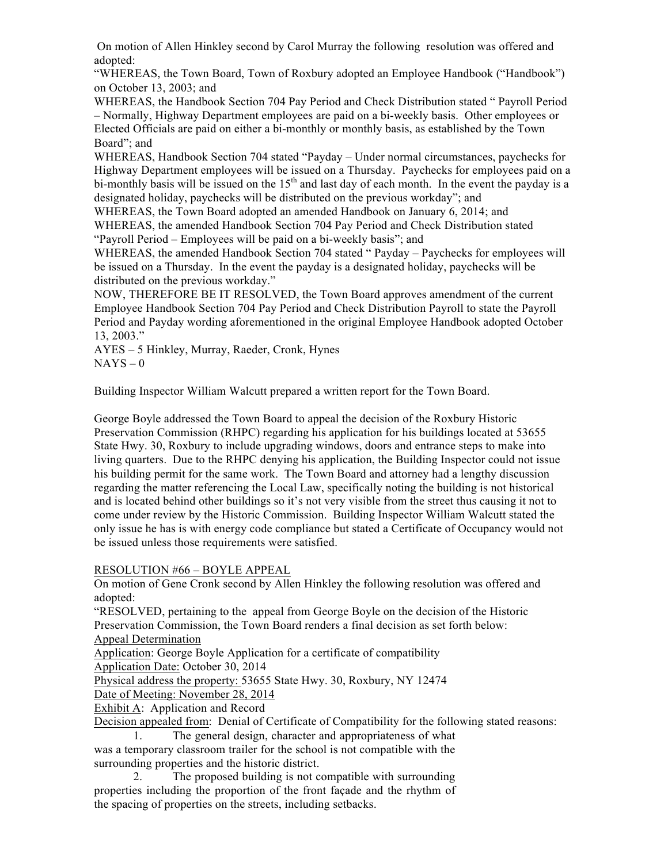On motion of Allen Hinkley second by Carol Murray the following resolution was offered and adopted:

"WHEREAS, the Town Board, Town of Roxbury adopted an Employee Handbook ("Handbook") on October 13, 2003; and

WHEREAS, the Handbook Section 704 Pay Period and Check Distribution stated " Payroll Period – Normally, Highway Department employees are paid on a bi-weekly basis. Other employees or Elected Officials are paid on either a bi-monthly or monthly basis, as established by the Town Board"; and

WHEREAS, Handbook Section 704 stated "Payday – Under normal circumstances, paychecks for Highway Department employees will be issued on a Thursday. Paychecks for employees paid on a bi-monthly basis will be issued on the 15<sup>th</sup> and last day of each month. In the event the payday is a designated holiday, paychecks will be distributed on the previous workday"; and

WHEREAS, the Town Board adopted an amended Handbook on January 6, 2014; and WHEREAS, the amended Handbook Section 704 Pay Period and Check Distribution stated "Payroll Period – Employees will be paid on a bi-weekly basis"; and

WHEREAS, the amended Handbook Section 704 stated " Payday – Paychecks for employees will be issued on a Thursday. In the event the payday is a designated holiday, paychecks will be distributed on the previous workday."

NOW, THEREFORE BE IT RESOLVED, the Town Board approves amendment of the current Employee Handbook Section 704 Pay Period and Check Distribution Payroll to state the Payroll Period and Payday wording aforementioned in the original Employee Handbook adopted October 13, 2003."

AYES – 5 Hinkley, Murray, Raeder, Cronk, Hynes  $NAYS - 0$ 

Building Inspector William Walcutt prepared a written report for the Town Board.

George Boyle addressed the Town Board to appeal the decision of the Roxbury Historic Preservation Commission (RHPC) regarding his application for his buildings located at 53655 State Hwy. 30, Roxbury to include upgrading windows, doors and entrance steps to make into living quarters. Due to the RHPC denying his application, the Building Inspector could not issue his building permit for the same work. The Town Board and attorney had a lengthy discussion regarding the matter referencing the Local Law, specifically noting the building is not historical and is located behind other buildings so it's not very visible from the street thus causing it not to come under review by the Historic Commission. Building Inspector William Walcutt stated the only issue he has is with energy code compliance but stated a Certificate of Occupancy would not be issued unless those requirements were satisfied.

RESOLUTION #66 – BOYLE APPEAL

On motion of Gene Cronk second by Allen Hinkley the following resolution was offered and adopted:

"RESOLVED, pertaining to the appeal from George Boyle on the decision of the Historic Preservation Commission, the Town Board renders a final decision as set forth below:

Appeal Determination

Application: George Boyle Application for a certificate of compatibility Application Date: October 30, 2014

Physical address the property: 53655 State Hwy. 30, Roxbury, NY 12474

Date of Meeting: November 28, 2014

Exhibit A: Application and Record

Decision appealed from: Denial of Certificate of Compatibility for the following stated reasons:

1. The general design, character and appropriateness of what was a temporary classroom trailer for the school is not compatible with the surrounding properties and the historic district.

2. The proposed building is not compatible with surrounding properties including the proportion of the front façade and the rhythm of the spacing of properties on the streets, including setbacks.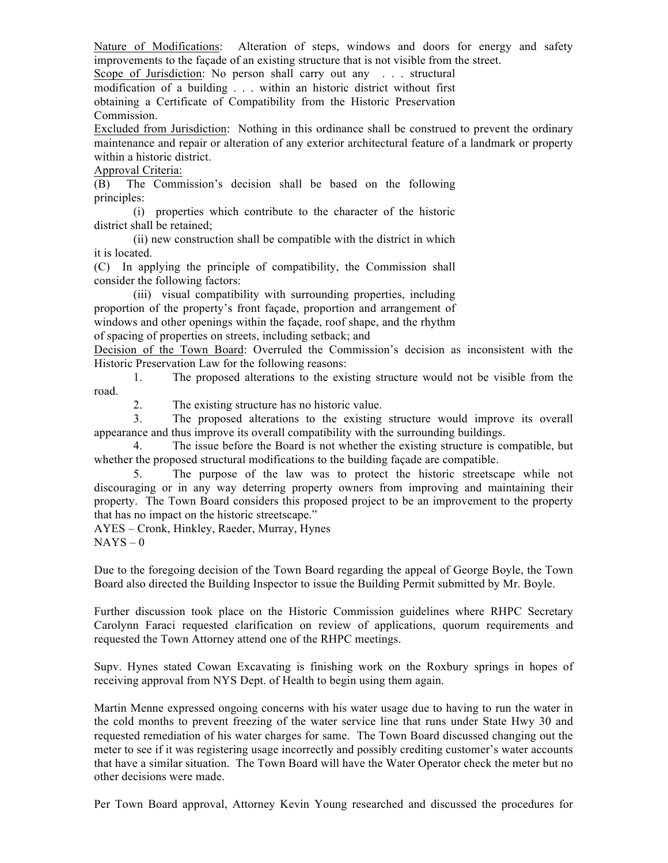Nature of Modifications: Alteration of steps, windows and doors for energy and safety improvements to the façade of an existing structure that is not visible from the street.

Scope of Jurisdiction: No person shall carry out any . . . structural modification of a building . . . within an historic district without first obtaining a Certificate of Compatibility from the Historic Preservation Commission.

Excluded from Jurisdiction: Nothing in this ordinance shall be construed to prevent the ordinary maintenance and repair or alteration of any exterior architectural feature of a landmark or property within a historic district.

### Approval Criteria:

(B) The Commission's decision shall be based on the following principles:

(i) properties which contribute to the character of the historic district shall be retained;

(ii) new construction shall be compatible with the district in which it is located.

(C) In applying the principle of compatibility, the Commission shall consider the following factors:

(iii) visual compatibility with surrounding properties, including proportion of the property's front façade, proportion and arrangement of windows and other openings within the façade, roof shape, and the rhythm of spacing of properties on streets, including setback; and

Decision of the Town Board: Overruled the Commission's decision as inconsistent with the Historic Preservation Law for the following reasons:

1. The proposed alterations to the existing structure would not be visible from the road.

2. The existing structure has no historic value.

3. The proposed alterations to the existing structure would improve its overall appearance and thus improve its overall compatibility with the surrounding buildings.

4. The issue before the Board is not whether the existing structure is compatible, but whether the proposed structural modifications to the building façade are compatible.

5. The purpose of the law was to protect the historic streetscape while not discouraging or in any way deterring property owners from improving and maintaining their property. The Town Board considers this proposed project to be an improvement to the property that has no impact on the historic streetscape."

AYES – Cronk, Hinkley, Raeder, Murray, Hynes  $NAYS - 0$ 

Due to the foregoing decision of the Town Board regarding the appeal of George Boyle, the Town Board also directed the Building Inspector to issue the Building Permit submitted by Mr. Boyle.

Further discussion took place on the Historic Commission guidelines where RHPC Secretary Carolynn Faraci requested clarification on review of applications, quorum requirements and requested the Town Attorney attend one of the RHPC meetings.

Supv. Hynes stated Cowan Excavating is finishing work on the Roxbury springs in hopes of receiving approval from NYS Dept. of Health to begin using them again.

Martin Menne expressed ongoing concerns with his water usage due to having to run the water in the cold months to prevent freezing of the water service line that runs under State Hwy 30 and requested remediation of his water charges for same. The Town Board discussed changing out the meter to see if it was registering usage incorrectly and possibly crediting customer's water accounts that have a similar situation. The Town Board will have the Water Operator check the meter but no other decisions were made.

Per Town Board approval, Attorney Kevin Young researched and discussed the procedures for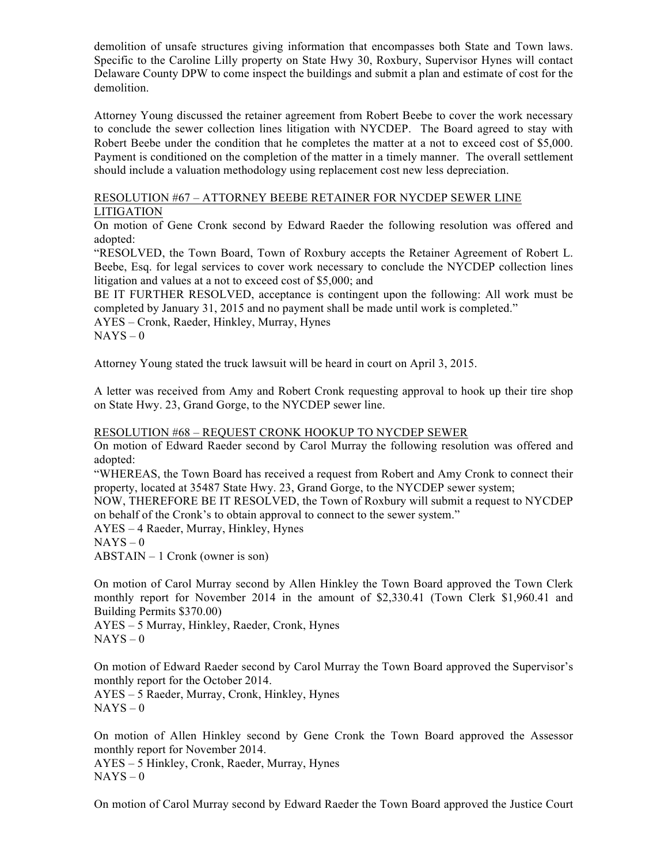demolition of unsafe structures giving information that encompasses both State and Town laws. Specific to the Caroline Lilly property on State Hwy 30, Roxbury, Supervisor Hynes will contact Delaware County DPW to come inspect the buildings and submit a plan and estimate of cost for the demolition.

Attorney Young discussed the retainer agreement from Robert Beebe to cover the work necessary to conclude the sewer collection lines litigation with NYCDEP. The Board agreed to stay with Robert Beebe under the condition that he completes the matter at a not to exceed cost of \$5,000. Payment is conditioned on the completion of the matter in a timely manner. The overall settlement should include a valuation methodology using replacement cost new less depreciation.

# RESOLUTION #67 – ATTORNEY BEEBE RETAINER FOR NYCDEP SEWER LINE

LITIGATION

On motion of Gene Cronk second by Edward Raeder the following resolution was offered and adopted:

"RESOLVED, the Town Board, Town of Roxbury accepts the Retainer Agreement of Robert L. Beebe, Esq. for legal services to cover work necessary to conclude the NYCDEP collection lines litigation and values at a not to exceed cost of \$5,000; and

BE IT FURTHER RESOLVED, acceptance is contingent upon the following: All work must be completed by January 31, 2015 and no payment shall be made until work is completed."

AYES – Cronk, Raeder, Hinkley, Murray, Hynes  $NAYS - 0$ 

Attorney Young stated the truck lawsuit will be heard in court on April 3, 2015.

A letter was received from Amy and Robert Cronk requesting approval to hook up their tire shop on State Hwy. 23, Grand Gorge, to the NYCDEP sewer line.

## RESOLUTION #68 – REQUEST CRONK HOOKUP TO NYCDEP SEWER

On motion of Edward Raeder second by Carol Murray the following resolution was offered and adopted:

"WHEREAS, the Town Board has received a request from Robert and Amy Cronk to connect their property, located at 35487 State Hwy. 23, Grand Gorge, to the NYCDEP sewer system;

NOW, THEREFORE BE IT RESOLVED, the Town of Roxbury will submit a request to NYCDEP on behalf of the Cronk's to obtain approval to connect to the sewer system."

AYES – 4 Raeder, Murray, Hinkley, Hynes  $NAYS - 0$ 

ABSTAIN – 1 Cronk (owner is son)

On motion of Carol Murray second by Allen Hinkley the Town Board approved the Town Clerk monthly report for November 2014 in the amount of \$2,330.41 (Town Clerk \$1,960.41 and Building Permits \$370.00)

AYES – 5 Murray, Hinkley, Raeder, Cronk, Hynes  $NAYS - 0$ 

On motion of Edward Raeder second by Carol Murray the Town Board approved the Supervisor's monthly report for the October 2014.

AYES – 5 Raeder, Murray, Cronk, Hinkley, Hynes  $NAYS - 0$ 

On motion of Allen Hinkley second by Gene Cronk the Town Board approved the Assessor monthly report for November 2014.

AYES – 5 Hinkley, Cronk, Raeder, Murray, Hynes  $NAYS - 0$ 

On motion of Carol Murray second by Edward Raeder the Town Board approved the Justice Court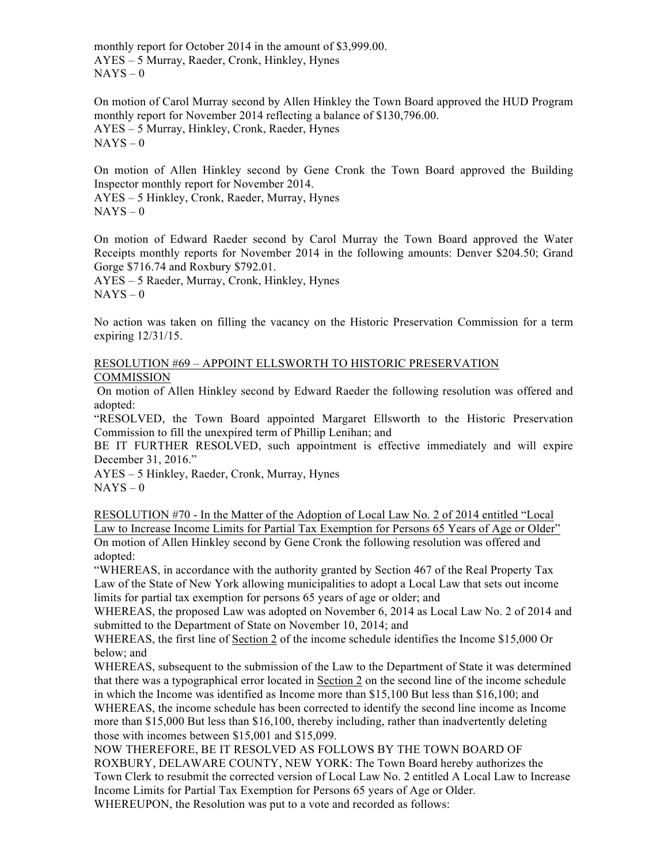monthly report for October 2014 in the amount of \$3,999.00. AYES – 5 Murray, Raeder, Cronk, Hinkley, Hynes  $NAYS - 0$ 

On motion of Carol Murray second by Allen Hinkley the Town Board approved the HUD Program monthly report for November 2014 reflecting a balance of \$130,796.00. AYES – 5 Murray, Hinkley, Cronk, Raeder, Hynes  $NAYS - 0$ 

On motion of Allen Hinkley second by Gene Cronk the Town Board approved the Building Inspector monthly report for November 2014.

AYES – 5 Hinkley, Cronk, Raeder, Murray, Hynes  $NAYS - 0$ 

On motion of Edward Raeder second by Carol Murray the Town Board approved the Water Receipts monthly reports for November 2014 in the following amounts: Denver \$204.50; Grand Gorge \$716.74 and Roxbury \$792.01.

AYES – 5 Raeder, Murray, Cronk, Hinkley, Hynes  $NAYS - 0$ 

No action was taken on filling the vacancy on the Historic Preservation Commission for a term expiring 12/31/15.

#### RESOLUTION #69 – APPOINT ELLSWORTH TO HISTORIC PRESERVATION **COMMISSION**

On motion of Allen Hinkley second by Edward Raeder the following resolution was offered and adopted:

"RESOLVED, the Town Board appointed Margaret Ellsworth to the Historic Preservation Commission to fill the unexpired term of Phillip Lenihan; and

BE IT FURTHER RESOLVED, such appointment is effective immediately and will expire December 31, 2016."

AYES – 5 Hinkley, Raeder, Cronk, Murray, Hynes  $NAYS - 0$ 

RESOLUTION #70 - In the Matter of the Adoption of Local Law No. 2 of 2014 entitled "Local Law to Increase Income Limits for Partial Tax Exemption for Persons 65 Years of Age or Older" On motion of Allen Hinkley second by Gene Cronk the following resolution was offered and adopted:

"WHEREAS, in accordance with the authority granted by Section 467 of the Real Property Tax Law of the State of New York allowing municipalities to adopt a Local Law that sets out income limits for partial tax exemption for persons 65 years of age or older; and

WHEREAS, the proposed Law was adopted on November 6, 2014 as Local Law No. 2 of 2014 and submitted to the Department of State on November 10, 2014; and

WHEREAS, the first line of Section 2 of the income schedule identifies the Income \$15,000 Or below; and

WHEREAS, subsequent to the submission of the Law to the Department of State it was determined that there was a typographical error located in Section 2 on the second line of the income schedule in which the Income was identified as Income more than \$15,100 But less than \$16,100; and

WHEREAS, the income schedule has been corrected to identify the second line income as Income more than \$15,000 But less than \$16,100, thereby including, rather than inadvertently deleting those with incomes between \$15,001 and \$15,099.

NOW THEREFORE, BE IT RESOLVED AS FOLLOWS BY THE TOWN BOARD OF ROXBURY, DELAWARE COUNTY, NEW YORK: The Town Board hereby authorizes the Town Clerk to resubmit the corrected version of Local Law No. 2 entitled A Local Law to Increase Income Limits for Partial Tax Exemption for Persons 65 years of Age or Older. WHEREUPON, the Resolution was put to a vote and recorded as follows: